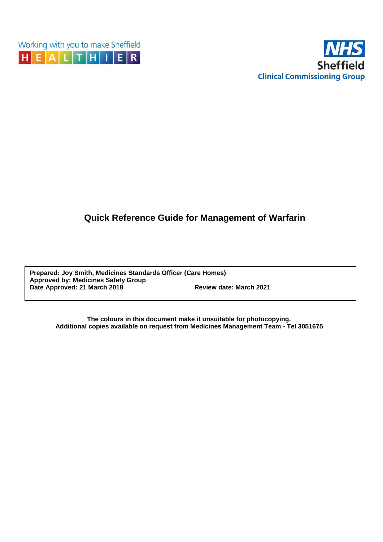



# **Quick Reference Guide for Management of Warfarin**

**Prepared: Joy Smith, Medicines Standards Officer (Care Homes) Approved by: Medicines Safety Group Date Approved: 21 March 2018 Review date: March 2021**

> **The colours in this document make it unsuitable for photocopying. Additional copies available on request from Medicines Management Team - Tel 3051675**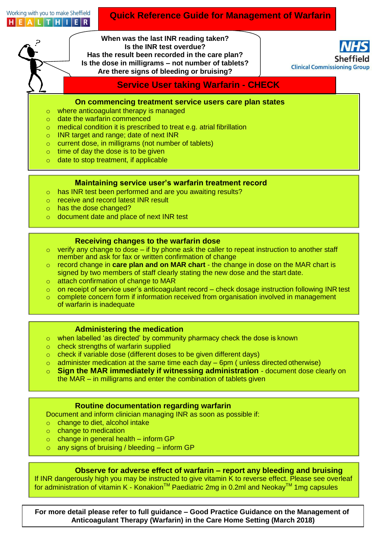Working with you to make Sheffield HEALTHIER

### **Quick Reference Guide for Management of Warfarin**

**When was the last INR reading taken? Is the INR test overdue? Has the result been recorded in the care plan? Is the dose in milligrams – not number of tablets? Are there signs of bleeding or bruising?**

**Clinical Commissioning Group** 

**Service User taking Warfarin - CHECK**

**On commencing treatment service users care plan states**

- o where anticoagulant therapy is managed
- o date the warfarin commenced
- o medical condition it is prescribed to treat e.g. atrial fibrillation
- o INR target and range; date of next INR
- o current dose, in milligrams (not number of tablets)
- o time of day the dose is to be given
- o date to stop treatment, if applicable

#### **Maintaining service user's warfarin treatment record**

- o has INR test been performed and are you awaiting results?
- o receive and record latest INR result
- o has the dose changed?
- o document date and place of next INR test

#### **Receiving changes to the warfarin dose**

- $\circ$  verify any change to dose if by phone ask the caller to repeat instruction to another staff member and ask for fax or written confirmation of change
- o record change in **care plan and on MAR chart**  the change in dose on the MAR chart is signed by two members of staff clearly stating the new dose and the start date.
- o attach confirmation of change to MAR
- o on receipt of service user's anticoagulant record check dosage instruction following INR test
- . of warfarin is inadequate o complete concern form if information received from organisation involved in management

#### **Administering the medication**

- o when labelled 'as directed' by community pharmacy check the dose is known
- o check strengths of warfarin supplied
- o check if variable dose (different doses to be given different days)
- $\circ$  administer medication at the same time each day 6pm ( unless directed otherwise)
- o **Sign the MAR immediately if witnessing administration**  document dose clearly on the MAR – in milligrams and enter the combination of tablets given

#### **Routine documentation regarding warfarin**

. Document and inform clinician managing INR as soon as possible if:

- o change to diet, alcohol intake
- o change to medication
- $\circ$  change in general health inform GP
- $\circ$  any signs of bruising / bleeding inform GP

#### **Observe for adverse effect of warfarin – report any bleeding and bruising**

If INR dangerously high you may be instructed to give vitamin K to reverse effect. Please see overleaf for administration of vitamin K - Konakion<sup>™</sup> Paediatric 2mg in 0.2ml and Neokay<sup>™</sup> 1mg capsules

**For more detail please refer to full guidance – Good Practice Guidance on the Management of Anticoagulant Therapy (Warfarin) in the Care Home Setting (March 2018)**